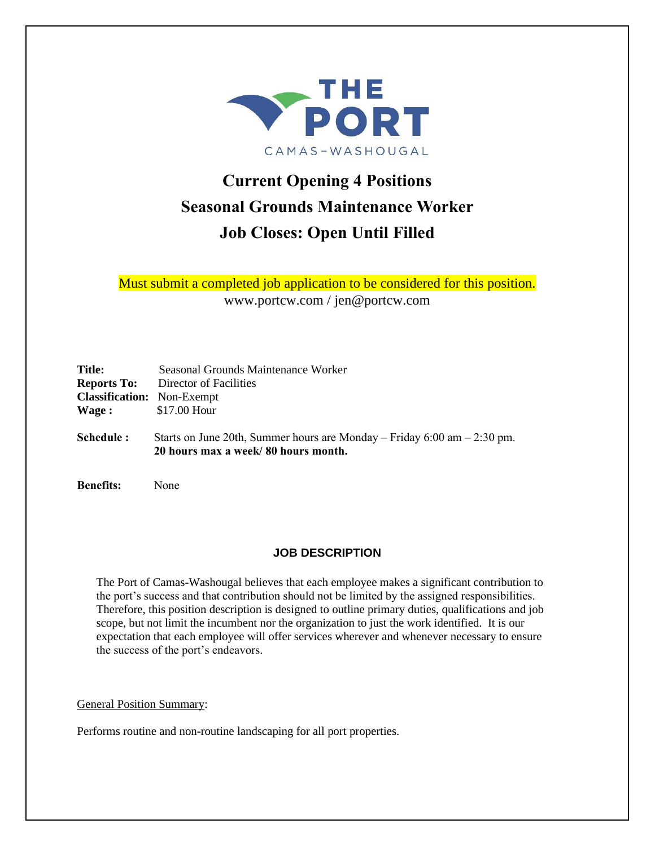

# **Current Opening 4 Positions Seasonal Grounds Maintenance Worker Job Closes: Open Until Filled**

Must submit a completed job application to be considered for this position. www.portcw.com / jen@portcw.com

| <b>Title:</b><br><b>Reports To:</b><br><b>Classification:</b> Non-Exempt | Seasonal Grounds Maintenance Worker<br>Director of Facilities                                                     |
|--------------------------------------------------------------------------|-------------------------------------------------------------------------------------------------------------------|
| Wage :                                                                   | \$17.00 Hour                                                                                                      |
| Schedule:                                                                | Starts on June 20th, Summer hours are Monday – Friday $6:00$ am – 2:30 pm.<br>20 hours max a week/80 hours month. |

**Benefits:** None

# **JOB DESCRIPTION**

The Port of Camas-Washougal believes that each employee makes a significant contribution to the port's success and that contribution should not be limited by the assigned responsibilities. Therefore, this position description is designed to outline primary duties, qualifications and job scope, but not limit the incumbent nor the organization to just the work identified. It is our expectation that each employee will offer services wherever and whenever necessary to ensure the success of the port's endeavors.

General Position Summary:

Performs routine and non-routine landscaping for all port properties.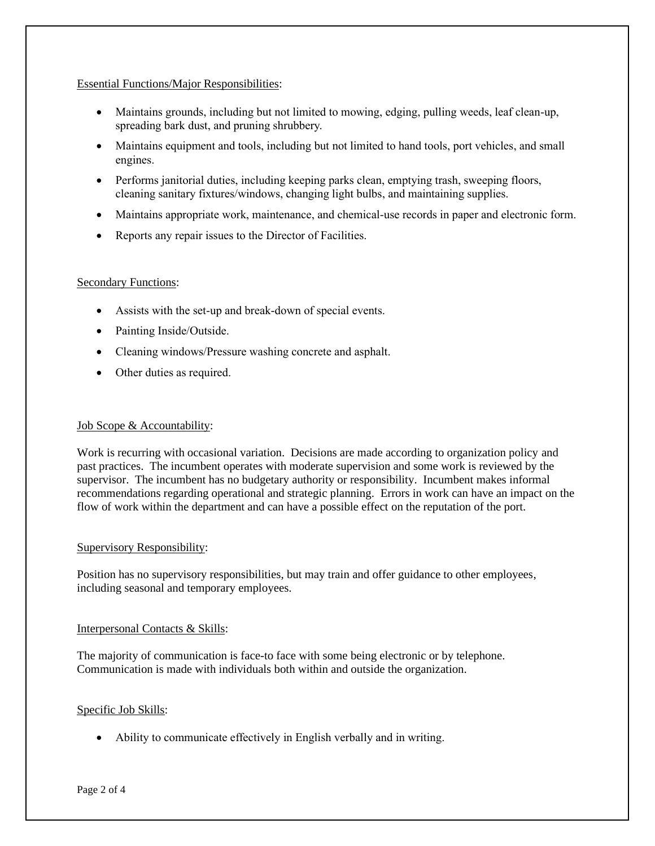### Essential Functions/Major Responsibilities:

- Maintains grounds, including but not limited to mowing, edging, pulling weeds, leaf clean-up, spreading bark dust, and pruning shrubbery.
- Maintains equipment and tools, including but not limited to hand tools, port vehicles, and small engines.
- Performs janitorial duties, including keeping parks clean, emptying trash, sweeping floors, cleaning sanitary fixtures/windows, changing light bulbs, and maintaining supplies.
- Maintains appropriate work, maintenance, and chemical-use records in paper and electronic form.
- Reports any repair issues to the Director of Facilities.

### Secondary Functions:

- Assists with the set-up and break-down of special events.
- Painting Inside/Outside.
- Cleaning windows/Pressure washing concrete and asphalt.
- Other duties as required.

#### Job Scope & Accountability:

Work is recurring with occasional variation. Decisions are made according to organization policy and past practices. The incumbent operates with moderate supervision and some work is reviewed by the supervisor. The incumbent has no budgetary authority or responsibility. Incumbent makes informal recommendations regarding operational and strategic planning. Errors in work can have an impact on the flow of work within the department and can have a possible effect on the reputation of the port.

#### Supervisory Responsibility:

Position has no supervisory responsibilities, but may train and offer guidance to other employees, including seasonal and temporary employees.

#### Interpersonal Contacts & Skills:

The majority of communication is face-to face with some being electronic or by telephone. Communication is made with individuals both within and outside the organization.

#### Specific Job Skills:

• Ability to communicate effectively in English verbally and in writing.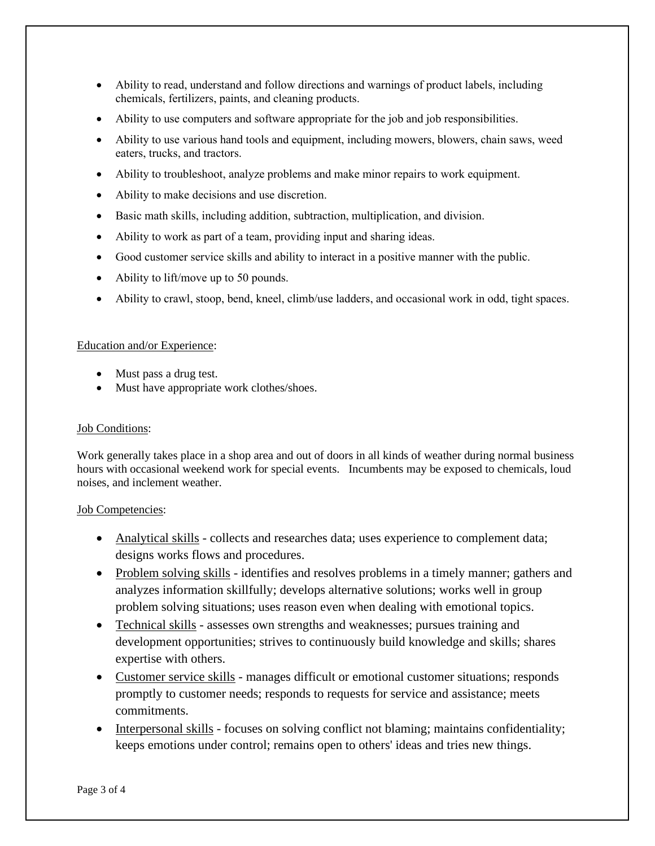- Ability to read, understand and follow directions and warnings of product labels, including chemicals, fertilizers, paints, and cleaning products.
- Ability to use computers and software appropriate for the job and job responsibilities.
- Ability to use various hand tools and equipment, including mowers, blowers, chain saws, weed eaters, trucks, and tractors.
- Ability to troubleshoot, analyze problems and make minor repairs to work equipment.
- Ability to make decisions and use discretion.
- Basic math skills, including addition, subtraction, multiplication, and division.
- Ability to work as part of a team, providing input and sharing ideas.
- Good customer service skills and ability to interact in a positive manner with the public.
- Ability to lift/move up to 50 pounds.
- Ability to crawl, stoop, bend, kneel, climb/use ladders, and occasional work in odd, tight spaces.

### Education and/or Experience:

- Must pass a drug test.
- Must have appropriate work clothes/shoes.

# Job Conditions:

Work generally takes place in a shop area and out of doors in all kinds of weather during normal business hours with occasional weekend work for special events. Incumbents may be exposed to chemicals, loud noises, and inclement weather.

# Job Competencies:

- Analytical skills collects and researches data; uses experience to complement data; designs works flows and procedures.
- Problem solving skills identifies and resolves problems in a timely manner; gathers and analyzes information skillfully; develops alternative solutions; works well in group problem solving situations; uses reason even when dealing with emotional topics.
- Technical skills assesses own strengths and weaknesses; pursues training and development opportunities; strives to continuously build knowledge and skills; shares expertise with others.
- Customer service skills manages difficult or emotional customer situations; responds promptly to customer needs; responds to requests for service and assistance; meets commitments.
- Interpersonal skills focuses on solving conflict not blaming; maintains confidentiality; keeps emotions under control; remains open to others' ideas and tries new things.